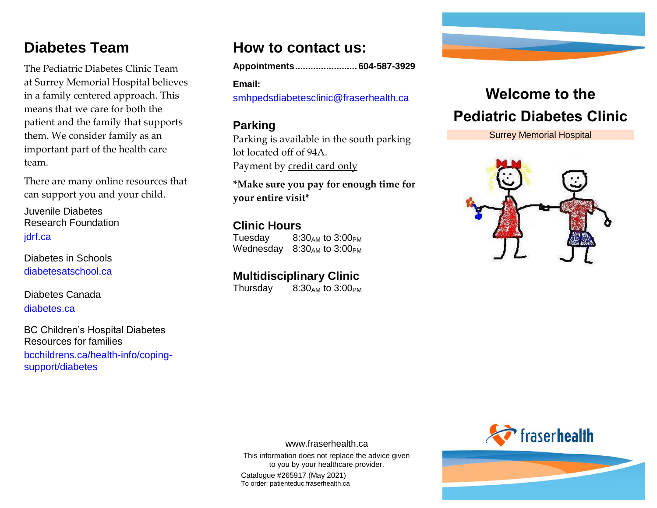### **Diabetes Team**

The Pediatric Diabetes Clinic Team at Surrey Memorial Hospital believes in a family centered approach. This means that we care for both the patient and the family that supports them. We consider family as an important part of the health care team.

There are many online resources that can support you and your child.

Juvenile Diabetes Research Foundation [jdrf.ca](http://www.jdrf.ca/)

Diabetes in Schools [diabetesatschool.ca](http://www.diabetesatschool.ca/)

Diabetes Canada [diabetes.ca](http://www.diabetes.ca/)

BC Children's Hospital Diabetes Resources for families

[bcchildrens.ca/health-info/coping](http://www.bcchildrens.ca/health-info/coping-support/diabetes)[support/diabetes](http://www.bcchildrens.ca/health-info/coping-support/diabetes)

### **How to contact us:**

**Appointments........................604-587-3929**

**Email:**  [smhpedsdiabetesclinic@fraserhealth.ca](mailto:smhpedsdiabetesclinic@fraserhealth.ca)

#### **Parking**

Parking is available in the south parking lot located off of 94A. Payment by credit card only

**\*Make sure you pay for enough time for your entire visit\*** 

#### **Clinic Hours**

Tuesday  $8:30_{AM}$  to  $3:00_{PM}$ Wednesday  $8:30_{AM}$  to  $3:00_{PM}$ 

### **Multidisciplinary Clinic**

Thursday  $8:30_{AM}$  to  $3:00_{PM}$ 

# **Welcome to the Pediatric Diabetes Clinic**

### Surrey Memorial Hospital





www.fraserhealth.ca

This information does not replace the advice given to you by your healthcare provider. Catalogue #265917 (May 2021) To order: patienteduc.fraserhealth.ca